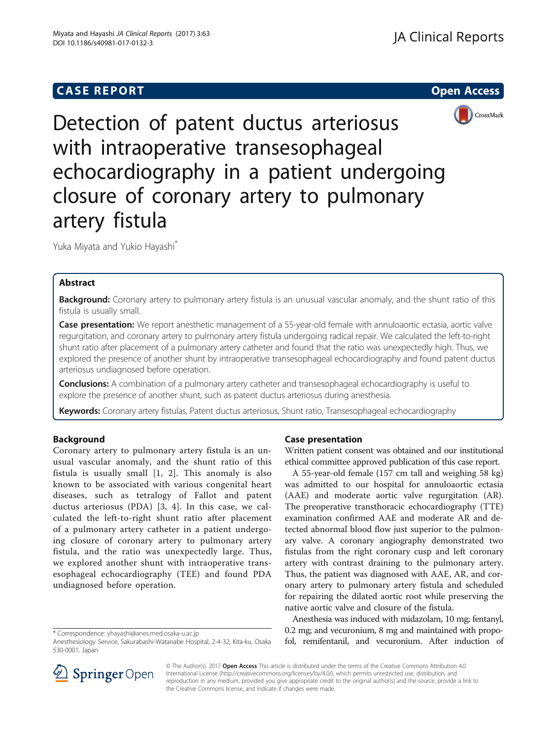# **CASE REPORT CASE REPORT CASE REPORT**



Detection of patent ductus arteriosus with intraoperative transesophageal echocardiography in a patient undergoing closure of coronary artery to pulmonary artery fistula

Yuka Miyata and Yukio Hayashi\*

## Abstract

Background: Coronary artery to pulmonary artery fistula is an unusual vascular anomaly, and the shunt ratio of this fistula is usually small.

Case presentation: We report anesthetic management of a 55-year-old female with annuloaortic ectasia, aortic valve regurgitation, and coronary artery to pulmonary artery fistula undergoing radical repair. We calculated the left-to-right shunt ratio after placement of a pulmonary artery catheter and found that the ratio was unexpectedly high. Thus, we explored the presence of another shunt by intraoperative transesophageal echocardiography and found patent ductus arteriosus undiagnosed before operation.

**Conclusions:** A combination of a pulmonary artery catheter and transesophageal echocardiography is useful to explore the presence of another shunt, such as patent ductus arteriosus during anesthesia.

Keywords: Coronary artery fistulas, Patent ductus arteriosus, Shunt ratio, Transesophageal echocardiography

## Background

Coronary artery to pulmonary artery fistula is an unusual vascular anomaly, and the shunt ratio of this fistula is usually small [[1](#page-2-0), [2](#page-2-0)]. This anomaly is also known to be associated with various congenital heart diseases, such as tetralogy of Fallot and patent ductus arteriosus (PDA) [\[3](#page-2-0), [4\]](#page-2-0). In this case, we calculated the left-to-right shunt ratio after placement of a pulmonary artery catheter in a patient undergoing closure of coronary artery to pulmonary artery fistula, and the ratio was unexpectedly large. Thus, we explored another shunt with intraoperative transesophageal echocardiography (TEE) and found PDA undiagnosed before operation.

## Case presentation

Written patient consent was obtained and our institutional ethical committee approved publication of this case report.

A 55-year-old female (157 cm tall and weighing 58 kg) was admitted to our hospital for annuloaortic ectasia (AAE) and moderate aortic valve regurgitation (AR). The preoperative transthoracic echocardiography (TTE) examination confirmed AAE and moderate AR and detected abnormal blood flow just superior to the pulmonary valve. A coronary angiography demonstrated two fistulas from the right coronary cusp and left coronary artery with contrast draining to the pulmonary artery. Thus, the patient was diagnosed with AAE, AR, and coronary artery to pulmonary artery fistula and scheduled for repairing the dilated aortic root while preserving the native aortic valve and closure of the fistula.

Anesthesia was induced with midazolam, 10 mg; fentanyl, 0.2 mg; and vecuronium, 8 mg and maintained with propofol, remifentanil, and vecuronium. After induction of



© The Author(s). 2017 Open Access This article is distributed under the terms of the Creative Commons Attribution 4.0 International License ([http://creativecommons.org/licenses/by/4.0/\)](http://creativecommons.org/licenses/by/4.0/), which permits unrestricted use, distribution, and reproduction in any medium, provided you give appropriate credit to the original author(s) and the source, provide a link to the Creative Commons license, and indicate if changes were made.

<sup>\*</sup> Correspondence: [yhayashi@anes.med.osaka-u.ac.jp](mailto:yhayashi@anes.med.osaka-u.ac.jp)

Anesthesiology Service, Sakurabashi-Watanabe Hospital, 2-4-32, Kita-ku, Osaka 530-0001, Japan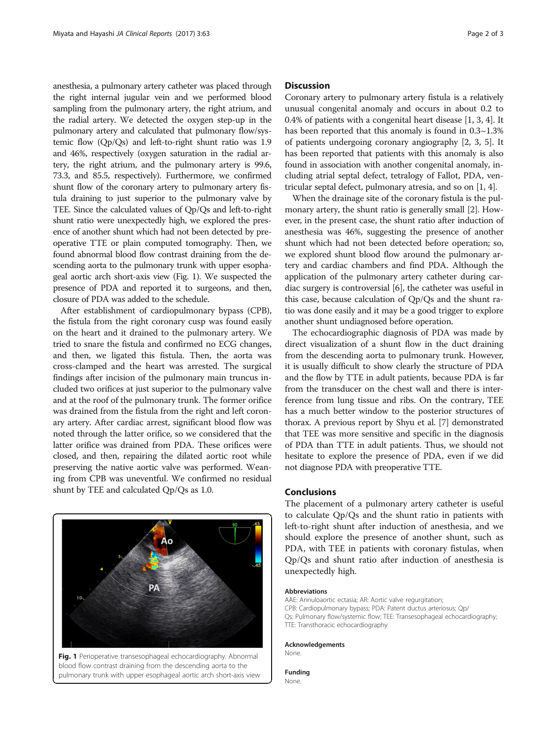anesthesia, a pulmonary artery catheter was placed through the right internal jugular vein and we performed blood sampling from the pulmonary artery, the right atrium, and the radial artery. We detected the oxygen step-up in the pulmonary artery and calculated that pulmonary flow/systemic flow (Qp/Qs) and left-to-right shunt ratio was 1.9 and 46%, respectively (oxygen saturation in the radial artery, the right atrium, and the pulmonary artery is 99.6, 73.3, and 85.5, respectively). Furthermore, we confirmed shunt flow of the coronary artery to pulmonary artery fistula draining to just superior to the pulmonary valve by TEE. Since the calculated values of Qp/Qs and left-to-right shunt ratio were unexpectedly high, we explored the presence of another shunt which had not been detected by preoperative TTE or plain computed tomography. Then, we found abnormal blood flow contrast draining from the descending aorta to the pulmonary trunk with upper esophageal aortic arch short-axis view (Fig. 1). We suspected the presence of PDA and reported it to surgeons, and then, closure of PDA was added to the schedule.

After establishment of cardiopulmonary bypass (CPB), the fistula from the right coronary cusp was found easily on the heart and it drained to the pulmonary artery. We tried to snare the fistula and confirmed no ECG changes, and then, we ligated this fistula. Then, the aorta was cross-clamped and the heart was arrested. The surgical findings after incision of the pulmonary main truncus included two orifices at just superior to the pulmonary valve and at the roof of the pulmonary trunk. The former orifice was drained from the fistula from the right and left coronary artery. After cardiac arrest, significant blood flow was noted through the latter orifice, so we considered that the latter orifice was drained from PDA. These orifices were closed, and then, repairing the dilated aortic root while preserving the native aortic valve was performed. Weaning from CPB was uneventful. We confirmed no residual shunt by TEE and calculated Qp/Qs as 1.0.



Fig. 1 Perioperative transesophageal echocardiography. Abnormal blood flow contrast draining from the descending aorta to the pulmonary trunk with upper esophageal aortic arch short-axis view

## **Discussion**

Coronary artery to pulmonary artery fistula is a relatively unusual congenital anomaly and occurs in about 0.2 to 0.4% of patients with a congenital heart disease [\[1, 3](#page-2-0), [4](#page-2-0)]. It has been reported that this anomaly is found in 0.3~1.3% of patients undergoing coronary angiography [[2, 3](#page-2-0), [5](#page-2-0)]. It has been reported that patients with this anomaly is also found in association with another congenital anomaly, including atrial septal defect, tetralogy of Fallot, PDA, ventricular septal defect, pulmonary atresia, and so on [\[1](#page-2-0), [4\]](#page-2-0).

When the drainage site of the coronary fistula is the pulmonary artery, the shunt ratio is generally small [\[2\]](#page-2-0). However, in the present case, the shunt ratio after induction of anesthesia was 46%, suggesting the presence of another shunt which had not been detected before operation; so, we explored shunt blood flow around the pulmonary artery and cardiac chambers and find PDA. Although the application of the pulmonary artery catheter during cardiac surgery is controversial [[6\]](#page-2-0), the catheter was useful in this case, because calculation of Qp/Qs and the shunt ratio was done easily and it may be a good trigger to explore another shunt undiagnosed before operation.

The echocardiographic diagnosis of PDA was made by direct visualization of a shunt flow in the duct draining from the descending aorta to pulmonary trunk. However, it is usually difficult to show clearly the structure of PDA and the flow by TTE in adult patients, because PDA is far from the transducer on the chest wall and there is interference from lung tissue and ribs. On the contrary, TEE has a much better window to the posterior structures of thorax. A previous report by Shyu et al. [\[7](#page-2-0)] demonstrated that TEE was more sensitive and specific in the diagnosis of PDA than TTE in adult patients. Thus, we should not hesitate to explore the presence of PDA, even if we did not diagnose PDA with preoperative TTE.

## Conclusions

The placement of a pulmonary artery catheter is useful to calculate Qp/Qs and the shunt ratio in patients with left-to-right shunt after induction of anesthesia, and we should explore the presence of another shunt, such as PDA, with TEE in patients with coronary fistulas, when Qp/Qs and shunt ratio after induction of anesthesia is unexpectedly high.

#### Abbreviations

AAE: Annuloaortic ectasia; AR: Aortic valve regurgitation; CPB: Cardiopulmonary bypass; PDA: Patent ductus arteriosus; Qp/ Qs: Pulmonary flow/systemic flow; TEE: Transesophageal echocardiography; TTE: Transthoracic echocardiography

Acknowledgements

None.

Funding None.